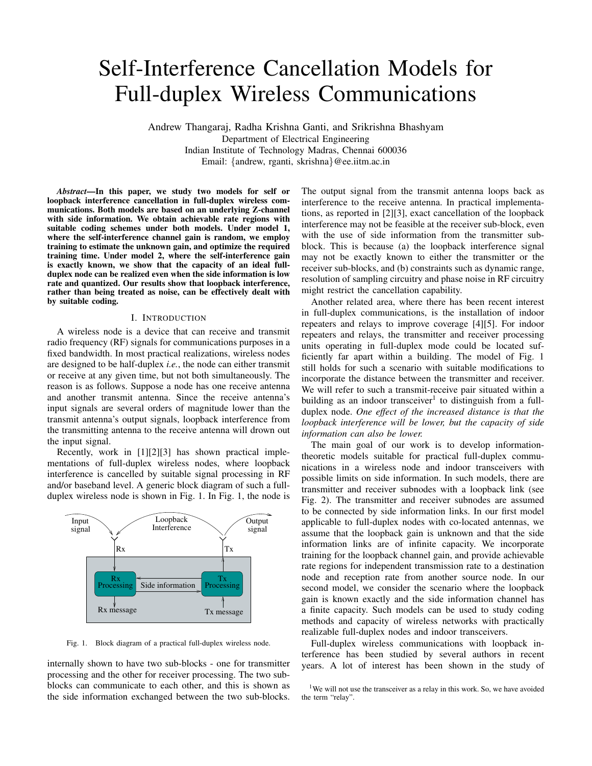# Self-Interference Cancellation Models for Full-duplex Wireless Communications

Andrew Thangaraj, Radha Krishna Ganti, and Srikrishna Bhashyam Department of Electrical Engineering Indian Institute of Technology Madras, Chennai 600036 Email: {andrew, rganti, skrishna}@ee.iitm.ac.in

*Abstract*—In this paper, we study two models for self or loopback interference cancellation in full-duplex wireless communications. Both models are based on an underlying Z-channel with side information. We obtain achievable rate regions with suitable coding schemes under both models. Under model 1, where the self-interference channel gain is random, we employ training to estimate the unknown gain, and optimize the required training time. Under model 2, where the self-interference gain is exactly known, we show that the capacity of an ideal fullduplex node can be realized even when the side information is low rate and quantized. Our results show that loopback interference, rather than being treated as noise, can be effectively dealt with by suitable coding.

# I. INTRODUCTION

A wireless node is a device that can receive and transmit radio frequency (RF) signals for communications purposes in a fixed bandwidth. In most practical realizations, wireless nodes are designed to be half-duplex *i.e.*, the node can either transmit or receive at any given time, but not both simultaneously. The reason is as follows. Suppose a node has one receive antenna and another transmit antenna. Since the receive antenna's input signals are several orders of magnitude lower than the transmit antenna's output signals, loopback interference from the transmitting antenna to the receive antenna will drown out the input signal.

Recently, work in [1][2][3] has shown practical implementations of full-duplex wireless nodes, where loopback interference is cancelled by suitable signal processing in RF and/or baseband level. A generic block diagram of such a fullduplex wireless node is shown in Fig. 1. In Fig. 1, the node is



Fig. 1. Block diagram of a practical full-duplex wireless node.

internally shown to have two sub-blocks - one for transmitter processing and the other for receiver processing. The two subblocks can communicate to each other, and this is shown as the side information exchanged between the two sub-blocks. The output signal from the transmit antenna loops back as interference to the receive antenna. In practical implementations, as reported in [2][3], exact cancellation of the loopback interference may not be feasible at the receiver sub-block, even with the use of side information from the transmitter subblock. This is because (a) the loopback interference signal may not be exactly known to either the transmitter or the receiver sub-blocks, and (b) constraints such as dynamic range, resolution of sampling circuitry and phase noise in RF circuitry might restrict the cancellation capability.

Another related area, where there has been recent interest in full-duplex communications, is the installation of indoor repeaters and relays to improve coverage [4][5]. For indoor repeaters and relays, the transmitter and receiver processing units operating in full-duplex mode could be located sufficiently far apart within a building. The model of Fig. 1 still holds for such a scenario with suitable modifications to incorporate the distance between the transmitter and receiver. We will refer to such a transmit-receive pair situated within a building as an indoor transceiver<sup>1</sup> to distinguish from a fullduplex node. *One effect of the increased distance is that the loopback interference will be lower, but the capacity of side information can also be lower.*

The main goal of our work is to develop informationtheoretic models suitable for practical full-duplex communications in a wireless node and indoor transceivers with possible limits on side information. In such models, there are transmitter and receiver subnodes with a loopback link (see Fig. 2). The transmitter and receiver subnodes are assumed to be connected by side information links. In our first model applicable to full-duplex nodes with co-located antennas, we assume that the loopback gain is unknown and that the side information links are of infinite capacity. We incorporate training for the loopback channel gain, and provide achievable rate regions for independent transmission rate to a destination node and reception rate from another source node. In our second model, we consider the scenario where the loopback gain is known exactly and the side information channel has a finite capacity. Such models can be used to study coding methods and capacity of wireless networks with practically realizable full-duplex nodes and indoor transceivers.

Full-duplex wireless communications with loopback interference has been studied by several authors in recent years. A lot of interest has been shown in the study of

<sup>&</sup>lt;sup>1</sup>We will not use the transceiver as a relay in this work. So, we have avoided the term "relay".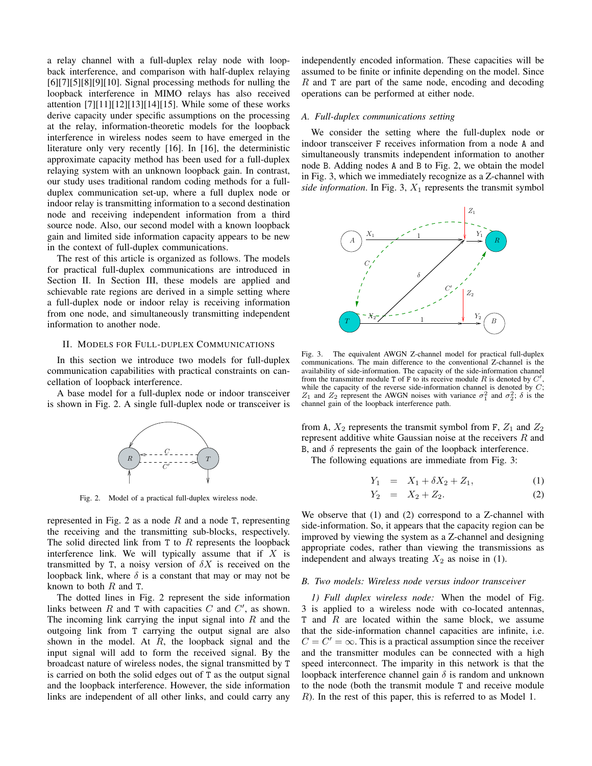a relay channel with a full-duplex relay node with loopback interference, and comparison with half-duplex relaying  $[6][7][5][8][9][10]$ . Signal processing methods for nulling the loopback interference in MIMO relays has also received attention [7][11][12][13][14][15]. While some of these works derive capacity under specific assumptions on the processing at the relay, information-theoretic models for the loopback interference in wireless nodes seem to have emerged in the literature only very recently [16]. In [16], the deterministic approximate capacity method has been used for a full-duplex relaying system with an unknown loopback gain. In contrast, our study uses traditional random coding methods for a fullduplex communication set-up, where a full duplex node or indoor relay is transmitting information to a second destination node and receiving independent information from a third source node. Also, our second model with a known loopback gain and limited side information capacity appears to be new in the context of full-duplex communications.

The rest of this article is organized as follows. The models for practical full-duplex communications are introduced in Section II. In Section III, these models are applied and schievable rate regions are derived in a simple setting where a full-duplex node or indoor relay is receiving information from one node, and simultaneously transmitting independent information to another node.

# II. MODELS FOR FULL-DUPLEX COMMUNICATIONS

In this section we introduce two models for full-duplex communication capabilities with practical constraints on cancellation of loopback interference.

A base model for a full-duplex node or indoor transceiver is shown in Fig. 2. A single full-duplex node or transceiver is



Fig. 2. Model of a practical full-duplex wireless node.

represented in Fig. 2 as a node  $R$  and a node  $T$ , representing the receiving and the transmitting sub-blocks, respectively. The solid directed link from  $T$  to  $R$  represents the loopback interference link. We will typically assume that if  $X$  is transmitted by T, a noisy version of  $\delta X$  is received on the loopback link, where  $\delta$  is a constant that may or may not be known to both  $R$  and T.

The dotted lines in Fig. 2 represent the side information links between  $R$  and  $T$  with capacities  $C$  and  $C'$ , as shown. The incoming link carrying the input signal into  $R$  and the outgoing link from T carrying the output signal are also shown in the model. At  $R$ , the loopback signal and the input signal will add to form the received signal. By the broadcast nature of wireless nodes, the signal transmitted by T is carried on both the solid edges out of T as the output signal and the loopback interference. However, the side information links are independent of all other links, and could carry any independently encoded information. These capacities will be assumed to be finite or infinite depending on the model. Since R and T are part of the same node, encoding and decoding operations can be performed at either node.

#### *A. Full-duplex communications setting*

We consider the setting where the full-duplex node or indoor transceiver F receives information from a node A and simultaneously transmits independent information to another node B. Adding nodes A and B to Fig. 2, we obtain the model in Fig. 3, which we immediately recognize as a Z-channel with *side information*. In Fig. 3,  $X_1$  represents the transmit symbol



Fig. 3. The equivalent AWGN Z-channel model for practical full-duplex communications. The main difference to the conventional Z-channel is the availability of side-information. The capacity of the side-information channel from the transmitter module T of F to its receive module R is denoted by  $C'$ , while the capacity of the reverse side-information channel is denoted by  $C$ ;  $Z_1$  and  $Z_2$  represent the AWGN noises with variance  $\sigma_1^2$  and  $\sigma_2^2$ ;  $\delta$  is the channel gain of the loopback interference path.

from A,  $X_2$  represents the transmit symbol from F,  $Z_1$  and  $Z_2$ represent additive white Gaussian noise at the receivers R and B, and  $\delta$  represents the gain of the loopback interference.

The following equations are immediate from Fig. 3:

$$
Y_1 = X_1 + \delta X_2 + Z_1, \tag{1}
$$

$$
Y_2 = X_2 + Z_2. \t\t(2)
$$

We observe that (1) and (2) correspond to a Z-channel with side-information. So, it appears that the capacity region can be improved by viewing the system as a Z-channel and designing appropriate codes, rather than viewing the transmissions as independent and always treating  $X_2$  as noise in (1).

## *B. Two models: Wireless node versus indoor transceiver*

*1) Full duplex wireless node:* When the model of Fig. 3 is applied to a wireless node with co-located antennas,  $T$  and  $R$  are located within the same block, we assume that the side-information channel capacities are infinite, i.e.  $C = C' = \infty$ . This is a practical assumption since the receiver and the transmitter modules can be connected with a high speed interconnect. The imparity in this network is that the loopback interference channel gain  $\delta$  is random and unknown to the node (both the transmit module T and receive module R). In the rest of this paper, this is referred to as Model 1.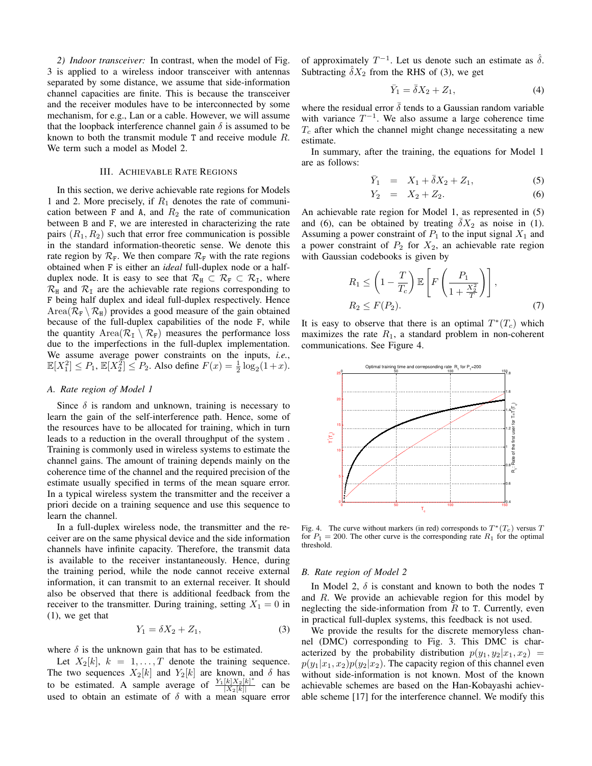*2) Indoor transceiver:* In contrast, when the model of Fig. 3 is applied to a wireless indoor transceiver with antennas separated by some distance, we assume that side-information channel capacities are finite. This is because the transceiver and the receiver modules have to be interconnected by some mechanism, for e.g., Lan or a cable. However, we will assume that the loopback interference channel gain  $\delta$  is assumed to be known to both the transmit module T and receive module R. We term such a model as Model 2.

#### III. ACHIEVABLE RATE REGIONS

In this section, we derive achievable rate regions for Models 1 and 2. More precisely, if  $R_1$  denotes the rate of communication between F and A, and  $R_2$  the rate of communication between B and F, we are interested in characterizing the rate pairs  $(R_1, R_2)$  such that error free communication is possible in the standard information-theoretic sense. We denote this rate region by  $\mathcal{R}_F$ . We then compare  $\mathcal{R}_F$  with the rate regions obtained when F is either an *ideal* full-duplex node or a halfduplex node. It is easy to see that  $\mathcal{R}_{H} \subset \mathcal{R}_{F} \subset \mathcal{R}_{I}$ , where  $\mathcal{R}_{\rm H}$  and  $\mathcal{R}_{\rm I}$  are the achievable rate regions corresponding to F being half duplex and ideal full-duplex respectively. Hence Area $(\mathcal{R}_F \setminus \mathcal{R}_H)$  provides a good measure of the gain obtained because of the full-duplex capabilities of the node F, while the quantity Area $(\mathcal{R}_{I} \setminus \mathcal{R}_{F})$  measures the performance loss due to the imperfections in the full-duplex implementation. We assume average power constraints on the inputs, *i.e.*,  $\mathbb{E}[X_1^2] \le P_1, \, \mathbb{E}[X_2^2] \le P_2.$  Also define  $F(x) = \frac{1}{2} \log_2(1+x)$ .

## *A. Rate region of Model 1*

Since  $\delta$  is random and unknown, training is necessary to learn the gain of the self-interference path. Hence, some of the resources have to be allocated for training, which in turn leads to a reduction in the overall throughput of the system . Training is commonly used in wireless systems to estimate the channel gains. The amount of training depends mainly on the coherence time of the channel and the required precision of the estimate usually specified in terms of the mean square error. In a typical wireless system the transmitter and the receiver a priori decide on a training sequence and use this sequence to learn the channel.

In a full-duplex wireless node, the transmitter and the receiver are on the same physical device and the side information channels have infinite capacity. Therefore, the transmit data is available to the receiver instantaneously. Hence, during the training period, while the node cannot receive external information, it can transmit to an external receiver. It should also be observed that there is additional feedback from the receiver to the transmitter. During training, setting  $X_1 = 0$  in (1), we get that

$$
Y_1 = \delta X_2 + Z_1,\tag{3}
$$

where  $\delta$  is the unknown gain that has to be estimated.

Let  $X_2[k], k = 1, \ldots, T$  denote the training sequence. The two sequences  $X_2[k]$  and  $Y_2[k]$  are known, and  $\delta$  has to be estimated. A sample average of  $\frac{Y_1[k]X_2[k]^*}{|X_0[k]|}$  $\frac{K[X_2]K]}{X_2[k]}$  can be used to obtain an estimate of  $\delta$  with a mean square error

of approximately  $T^{-1}$ . Let us denote such an estimate as  $\hat{\delta}$ . Subtracting  $\delta X_2$  from the RHS of (3), we get

$$
\bar{Y}_1 = \bar{\delta} X_2 + Z_1,\tag{4}
$$

where the residual error  $\bar{\delta}$  tends to a Gaussian random variable with variance  $T^{-1}$ . We also assume a large coherence time  $T_c$  after which the channel might change necessitating a new estimate.

In summary, after the training, the equations for Model 1 are as follows:

$$
\bar{Y}_1 = X_1 + \bar{\delta}X_2 + Z_1, \tag{5}
$$

$$
Y_2 = X_2 + Z_2. \t\t(6)
$$

An achievable rate region for Model 1, as represented in (5) and (6), can be obtained by treating  $\delta X_2$  as noise in (1). Assuming a power constraint of  $P_1$  to the input signal  $X_1$  and a power constraint of  $P_2$  for  $X_2$ , an achievable rate region with Gaussian codebooks is given by

$$
R_1 \leq \left(1 - \frac{T}{T_c}\right) \mathbb{E}\left[F\left(\frac{P_1}{1 + \frac{X_2^2}{T}}\right)\right],
$$
  
\n
$$
R_2 \leq F(P_2).
$$
 (7)

It is easy to observe that there is an optimal  $T^*(T_c)$  which maximizes the rate  $R_1$ , a standard problem in non-coherent communications. See Figure 4.



Fig. 4. The curve without markers (in red) corresponds to  $T^*(T_c)$  versus T for  $P_1 = 200$ . The other curve is the corresponding rate  $R_1$  for the optimal threshold.

#### *B. Rate region of Model 2*

In Model 2,  $\delta$  is constant and known to both the nodes T and R. We provide an achievable region for this model by neglecting the side-information from  $R$  to  $T$ . Currently, even in practical full-duplex systems, this feedback is not used.

We provide the results for the discrete memoryless channel (DMC) corresponding to Fig. 3. This DMC is characterized by the probability distribution  $p(y_1, y_2|x_1, x_2)$  =  $p(y_1|x_1, x_2)p(y_2|x_2)$ . The capacity region of this channel even without side-information is not known. Most of the known achievable schemes are based on the Han-Kobayashi achievable scheme [17] for the interference channel. We modify this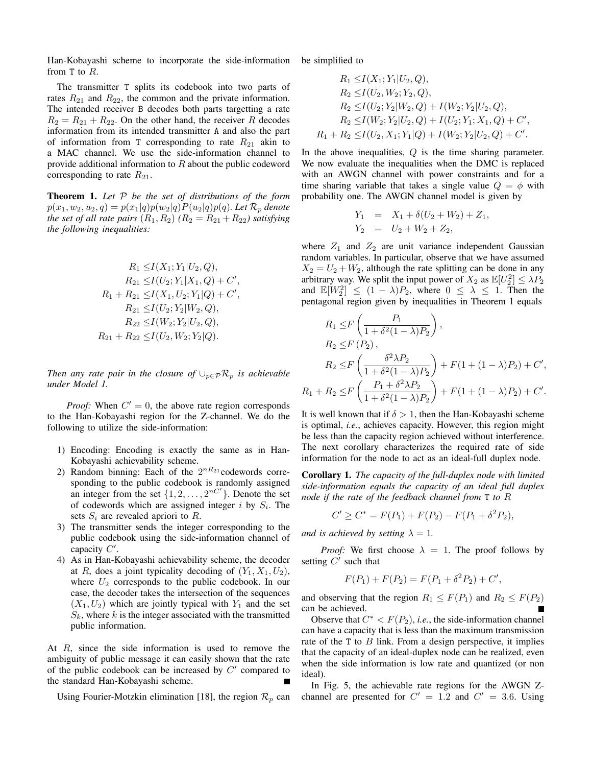Han-Kobayashi scheme to incorporate the side-information from  $T$  to  $R$ .

The transmitter T splits its codebook into two parts of rates  $R_{21}$  and  $R_{22}$ , the common and the private information. The intended receiver B decodes both parts targetting a rate  $R_2 = R_{21} + R_{22}$ . On the other hand, the receiver R decodes information from its intended transmitter A and also the part of information from T corresponding to rate  $R_{21}$  akin to a MAC channel. We use the side-information channel to provide additional information to  $R$  about the public codeword corresponding to rate  $R_{21}$ .

Theorem 1. *Let* P *be the set of distributions of the form*  $p(x_1, w_2, u_2, q) = p(x_1|q)p(w_2|q)P(u_2|q)p(q)$ *. Let*  $\mathcal{R}_p$  *denote the set of all rate pairs*  $(R_1, R_2)$   $(R_2 = R_{21} + R_{22})$  *satisfying the following inequalities:*

$$
R_1 \leq I(X_1; Y_1 | U_2, Q),
$$
  
\n
$$
R_{21} \leq I(U_2; Y_1 | X_1, Q) + C',
$$
  
\n
$$
R_1 + R_{21} \leq I(X_1, U_2; Y_1 | Q) + C',
$$
  
\n
$$
R_{21} \leq I(U_2; Y_2 | W_2, Q),
$$
  
\n
$$
R_{22} \leq I(W_2; Y_2 | U_2, Q),
$$
  
\n
$$
R_{21} + R_{22} \leq I(U_2, W_2; Y_2 | Q).
$$

*Then any rate pair in the closure of*  $\cup_{p \in \mathcal{P}} R_p$  *is achievable under Model 1.*

*Proof:* When  $C' = 0$ , the above rate region corresponds to the Han-Kobayashi region for the Z-channel. We do the following to utilize the side-information:

- 1) Encoding: Encoding is exactly the same as in Han-Kobayashi achievability scheme.
- 2) Random binning: Each of the  $2^{nR_{21}}$ codewords corresponding to the public codebook is randomly assigned an integer from the set  $\{1, 2, \ldots, 2^{nC'}\}$ . Denote the set of codewords which are assigned integer i by  $S_i$ . The sets  $S_i$  are revealed apriori to  $R$ .
- 3) The transmitter sends the integer corresponding to the public codebook using the side-information channel of capacity  $C'$ .
- 4) As in Han-Kobayashi achievability scheme, the decoder at R, does a joint typicality decoding of  $(Y_1, X_1, U_2)$ , where  $U_2$  corresponds to the public codebook. In our case, the decoder takes the intersection of the sequences  $(X_1, U_2)$  which are jointly typical with  $Y_1$  and the set  $S_k$ , where k is the integer associated with the transmitted public information.

At R, since the side information is used to remove the ambiguity of public message it can easily shown that the rate of the public codebook can be increased by  $C'$  compared to the standard Han-Kobayashi scheme.

Using Fourier-Motzkin elimination [18], the region  $\mathcal{R}_p$  can

be simplified to

$$
R_1 \le I(X_1; Y_1 | U_2, Q),
$$
  
\n
$$
R_2 \le I(U_2, W_2; Y_2, Q),
$$
  
\n
$$
R_2 \le I(U_2; Y_2 | W_2, Q) + I(W_2; Y_2 | U_2, Q),
$$
  
\n
$$
R_2 \le I(W_2; Y_2 | U_2, Q) + I(U_2; Y_1; X_1, Q) + C',
$$
  
\n
$$
R_1 + R_2 \le I(U_2, X_1; Y_1 | Q) + I(W_2; Y_2 | U_2, Q) + C'.
$$

In the above inequalities, Q is the time sharing parameter. We now evaluate the inequalities when the DMC is replaced with an AWGN channel with power constraints and for a time sharing variable that takes a single value  $Q = \phi$  with probability one. The AWGN channel model is given by

$$
Y_1 = X_1 + \delta(U_2 + W_2) + Z_1,
$$
  
\n
$$
Y_2 = U_2 + W_2 + Z_2,
$$

where  $Z_1$  and  $Z_2$  are unit variance independent Gaussian random variables. In particular, observe that we have assumed  $X_2 = U_2 + W_2$ , although the rate splitting can be done in any arbitrary way. We split the input power of  $X_2$  as  $\mathbb{E}[U_2^2] \leq \lambda P_2$ and  $\mathbb{E}[W_2^2] \leq (1 - \lambda)P_2$ , where  $0 \leq \lambda \leq 1$ . Then the pentagonal region given by inequalities in Theorem 1 equals

$$
R_1 \le F\left(\frac{P_1}{1+\delta^2(1-\lambda)P_2}\right),
$$
  
\n
$$
R_2 \le F(P_2),
$$
  
\n
$$
R_2 \le F\left(\frac{\delta^2 \lambda P_2}{1+\delta^2(1-\lambda)P_2}\right) + F(1+(1-\lambda)P_2) + C',
$$
  
\n
$$
R_1 + R_2 \le F\left(\frac{P_1+\delta^2 \lambda P_2}{1+\delta^2(1-\lambda)P_2}\right) + F(1+(1-\lambda)P_2) + C'.
$$

It is well known that if  $\delta > 1$ , then the Han-Kobayashi scheme is optimal, *i.e.*, achieves capacity. However, this region might be less than the capacity region achieved without interference. The next corollary characterizes the required rate of side information for the node to act as an ideal-full duplex node.

Corollary 1. *The capacity of the full-duplex node with limited side-information equals the capacity of an ideal full duplex node if the rate of the feedback channel from* T *to* R

$$
C' \geq C^* = F(P_1) + F(P_2) - F(P_1 + \delta^2 P_2),
$$

*and is achieved by setting*  $\lambda = 1$ *.* 

*Proof:* We first choose  $\lambda = 1$ . The proof follows by setting  $C'$  such that

$$
F(P_1) + F(P_2) = F(P_1 + \delta^2 P_2) + C',
$$

and observing that the region  $R_1 \leq F(P_1)$  and  $R_2 \leq F(P_2)$ can be achieved.

Observe that  $C^* < F(P_2)$ , *i.e.*, the side-information channel can have a capacity that is less than the maximum transmission rate of the  $T$  to  $B$  link. From a design perspective, it implies that the capacity of an ideal-duplex node can be realized, even when the side information is low rate and quantized (or non ideal).

In Fig. 5, the achievable rate regions for the AWGN Zchannel are presented for  $C' = 1.2$  and  $C' = 3.6$ . Using